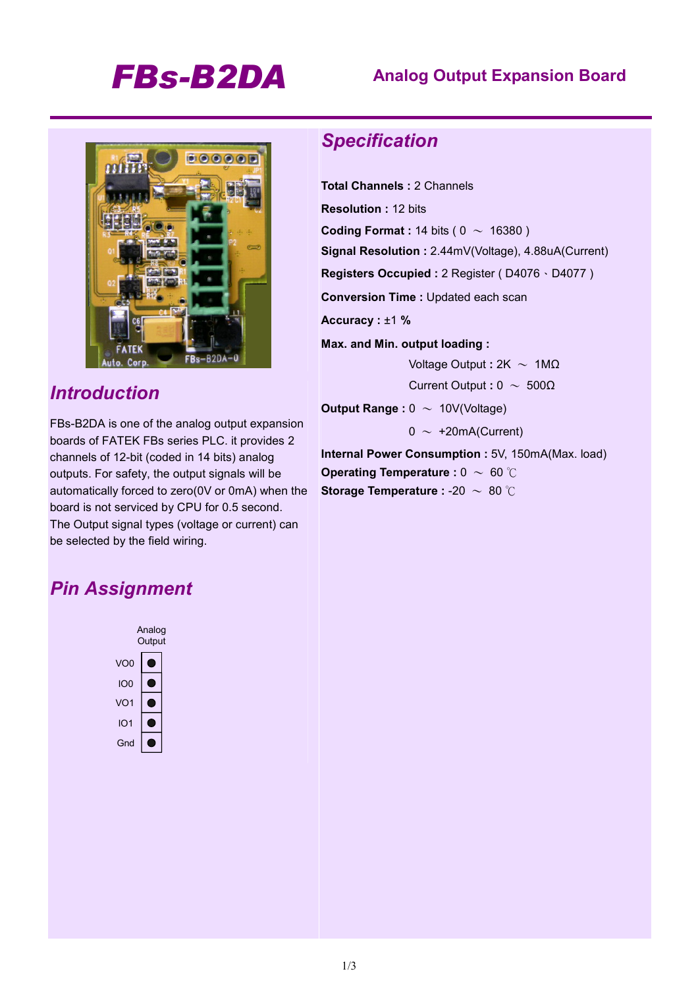# *FBs-B2DA* **Analog Output Expansion Board**



## *Introduction*

FBs-B2DA is one of the analog output expansion boards of FATEK FBs series PLC. it provides 2 channels of 12-bit (coded in 14 bits) analog outputs. For safety, the output signals will be automatically forced to zero(0V or 0mA) when the board is not serviced by CPU for 0.5 second. The Output signal types (voltage or current) can be selected by the field wiring.

## *Specification*

**Total Channels :** 2 Channels **Resolution :** 12 bits **Coding Format : 14 bits (**  $0 \sim 16380$  **) Signal Resolution :** 2.44mV(Voltage), 4.88uA(Current) **Registers Occupied :** 2 Register ( D4076、D4077 ) **Conversion Time :** Updated each scan **Accuracy :** ±1 **% Max. and Min. output loading :**  Voltage Output **:** 2K ~ 1MΩ Current Output **:** 0 ~ 500Ω **Output Range :**  $0 \sim 10V(Voltage)$  $0 \sim +20$ mA(Current)

**Internal Power Consumption :** 5V, 150mA(Max. load) **Operating Temperature : 0 ~ 60 ℃ Storage Temperature :** -20 ~ 80 ℃

## *Pin Assignment*

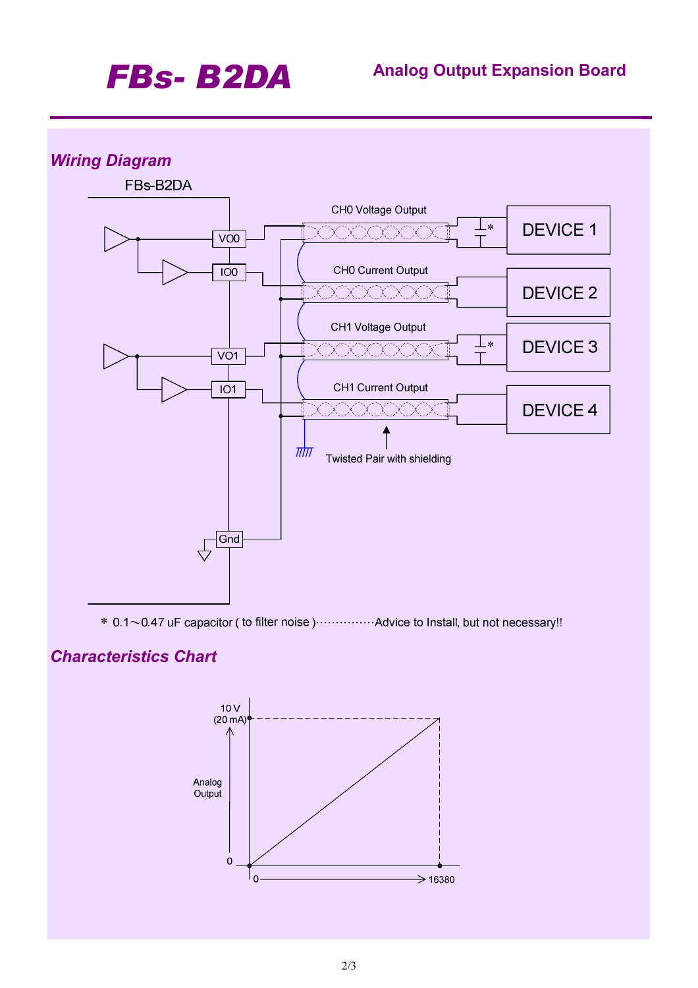# *FBs- B2DA* **Analog Output Expansion Board**

### *Wiring Diagram*



\* 0.1~0.47 uF capacitor (to filter noise) ............... Advice to Install, but not necessary!!

## *Characteristics Chart*